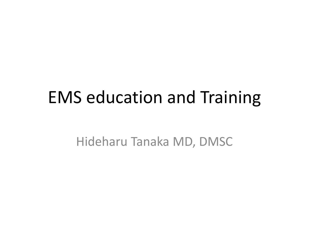#### EMS education and Training

Hideharu Tanaka MD, DMSC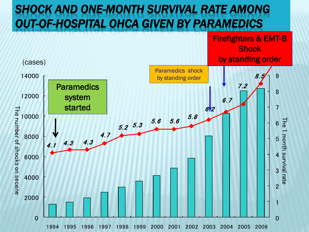#### *SHOCK AND ONE-MONTH SURVIVAL RATE AMONG OUT-OF-HOSPITAL OHCA GIVEN BY PARAMEDICS*

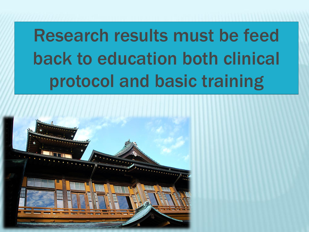# **Research results must be feed back to education both clinical** protocol and basic training

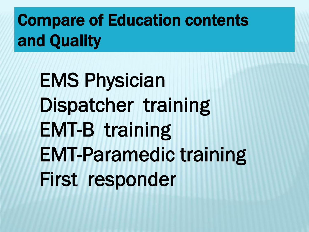Compare of Education contents and Quality

EMS Physician Dispatcher training EMT-B training EMT-Paramedic training First responder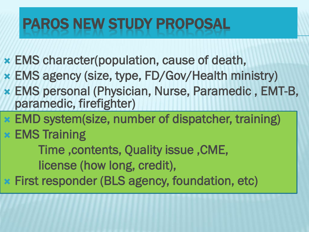## PAROS NEW STUDY PROPOSAL

- EMS character(population, cause of death,
- EMS agency (size, type, FD/Gov/Health ministry)
- EMS personal (Physician, Nurse, Paramedic , EMT-B, paramedic, firefighter)
- EMD system(size, number of dispatcher, training)
- EMS Training

Time ,contents, Quality issue ,CME, license (how long, credit),

First responder (BLS agency, foundation, etc)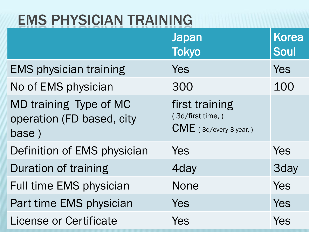#### EMS PHYSICIAN TRAINING

|                                                              | <b>Japan</b><br><b>Tokyo</b>                                  | <b>Korea</b><br>Soul |
|--------------------------------------------------------------|---------------------------------------------------------------|----------------------|
| <b>EMS physician training</b>                                | Yes                                                           | Yes                  |
| No of EMS physician                                          | 300                                                           | 100                  |
| MD training Type of MC<br>operation (FD based, city<br>base) | first training<br>(3d/first time,)<br>CME (3d/every 3 year, ) |                      |
| Definition of EMS physician                                  | Yes                                                           | Yes                  |
| Duration of training                                         | 4day                                                          | <b>3day</b>          |
| Full time EMS physician                                      | <b>None</b>                                                   | Yes                  |
| Part time EMS physician                                      | Yes                                                           | Yes                  |
| <b>License or Certificate</b>                                | Yes                                                           | Yes                  |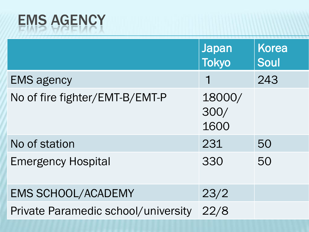# EMS AGENCY

|                                     | <b>Japan</b><br><b>Tokyo</b> | <b>Korea</b><br>Soul |
|-------------------------------------|------------------------------|----------------------|
| <b>EMS agency</b>                   |                              | 243                  |
| No of fire fighter/EMT-B/EMT-P      | 18000/<br>300/<br>1600       |                      |
| No of station                       | 231                          | 50                   |
| <b>Emergency Hospital</b>           | 330                          | 50                   |
| <b>EMS SCHOOL/ACADEMY</b>           | 23/2                         |                      |
| Private Paramedic school/university | 22/8                         |                      |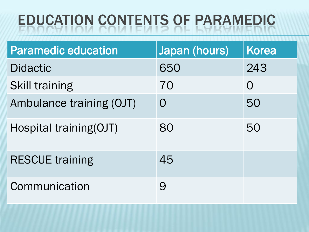## EDUCATION CONTENTS OF PARAMEDIC

| <b>Paramedic education</b> | Japan (hours) | <b>Korea</b> |
|----------------------------|---------------|--------------|
| <b>Didactic</b>            | 650           | 243          |
| <b>Skill training</b>      | 70            | $\bigcup$    |
| Ambulance training (OJT)   | $\Omega$      | 50           |
| Hospital training(OJT)     | 80            | 50           |
| <b>RESCUE training</b>     | 45            |              |
| Communication              | 9             |              |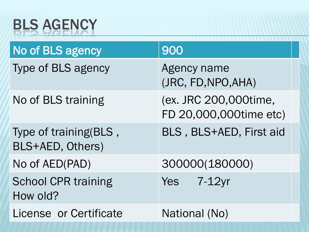## BLS AGENCY

| No of BLS agency                          | 900                                             |
|-------------------------------------------|-------------------------------------------------|
| Type of BLS agency                        | Agency name<br>(JRC, FD, NPO, AHA)              |
| No of BLS training                        | (ex. JRC 200,000time,<br>FD 20,000,000time etc) |
| Type of training(BLS,<br>BLS+AED, Others) | BLS, BLS+AED, First aid                         |
| No of AED(PAD)                            | 300000(180000)                                  |
| <b>School CPR training</b><br>How old?    | $Yes$ 7-12 $vr$                                 |
| License or Certificate                    | National (No)                                   |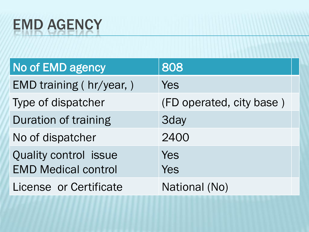#### EMD AGENCY

| No of EMD agency                                           | 808                      |  |
|------------------------------------------------------------|--------------------------|--|
| EMD training (hr/year,)                                    | Yes                      |  |
| Type of dispatcher                                         | (FD operated, city base) |  |
| Duration of training                                       | <b>3day</b>              |  |
| No of dispatcher                                           | 2400                     |  |
| <b>Quality control issue</b><br><b>EMD Medical control</b> | Yes<br>Yes               |  |
| License or Certificate                                     | National (No)            |  |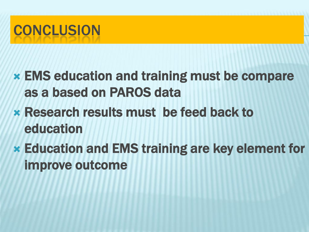## **CONCLUSION**

- EMS education and training must be compare as a based on PAROS data
- Research results must be feed back to education
- Education and EMS training are key element for improve outcome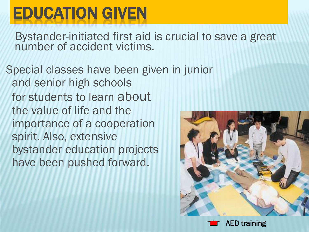## EDUCATION GIVEN

Bystander-initiated first aid is crucial to save a great number of accident victims.

Special classes have been given in junior and senior high schools for students to learn about the value of life and the importance of a cooperation spirit. Also, extensive bystander education projects have been pushed forward.